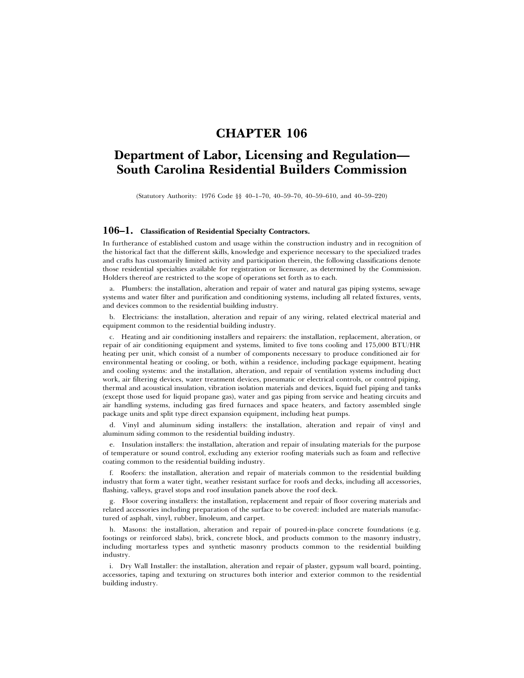## **CHAPTER 106**

# **Department of Labor, Licensing and Regulation— South Carolina Residential Builders Commission**

(Statutory Authority: 1976 Code §§ 40–1–70, 40–59–70, 40–59–610, and 40–59–220)

### **106–1. Classification of Residential Specialty Contractors.**

In furtherance of established custom and usage within the construction industry and in recognition of the historical fact that the different skills, knowledge and experience necessary to the specialized trades and crafts has customarily limited activity and participation therein, the following classifications denote those residential specialties available for registration or licensure, as determined by the Commission. Holders thereof are restricted to the scope of operations set forth as to each.

a. Plumbers: the installation, alteration and repair of water and natural gas piping systems, sewage systems and water filter and purification and conditioning systems, including all related fixtures, vents, and devices common to the residential building industry.

b. Electricians: the installation, alteration and repair of any wiring, related electrical material and equipment common to the residential building industry.

c. Heating and air conditioning installers and repairers: the installation, replacement, alteration, or repair of air conditioning equipment and systems, limited to five tons cooling and 175,000 BTU/HR heating per unit, which consist of a number of components necessary to produce conditioned air for environmental heating or cooling, or both, within a residence, including package equipment, heating and cooling systems: and the installation, alteration, and repair of ventilation systems including duct work, air filtering devices, water treatment devices, pneumatic or electrical controls, or control piping, thermal and acoustical insulation, vibration isolation materials and devices, liquid fuel piping and tanks (except those used for liquid propane gas), water and gas piping from service and heating circuits and air handling systems, including gas fired furnaces and space heaters, and factory assembled single package units and split type direct expansion equipment, including heat pumps.

d. Vinyl and aluminum siding installers: the installation, alteration and repair of vinyl and aluminum siding common to the residential building industry.

e. Insulation installers: the installation, alteration and repair of insulating materials for the purpose of temperature or sound control, excluding any exterior roofing materials such as foam and reflective coating common to the residential building industry.

f. Roofers: the installation, alteration and repair of materials common to the residential building industry that form a water tight, weather resistant surface for roofs and decks, including all accessories, flashing, valleys, gravel stops and roof insulation panels above the roof deck.

g. Floor covering installers: the installation, replacement and repair of floor covering materials and related accessories including preparation of the surface to be covered: included are materials manufactured of asphalt, vinyl, rubber, linoleum, and carpet.

h. Masons: the installation, alteration and repair of poured-in-place concrete foundations (e.g. footings or reinforced slabs), brick, concrete block, and products common to the masonry industry, including mortarless types and synthetic masonry products common to the residential building industry.

i. Dry Wall Installer: the installation, alteration and repair of plaster, gypsum wall board, pointing, accessories, taping and texturing on structures both interior and exterior common to the residential building industry.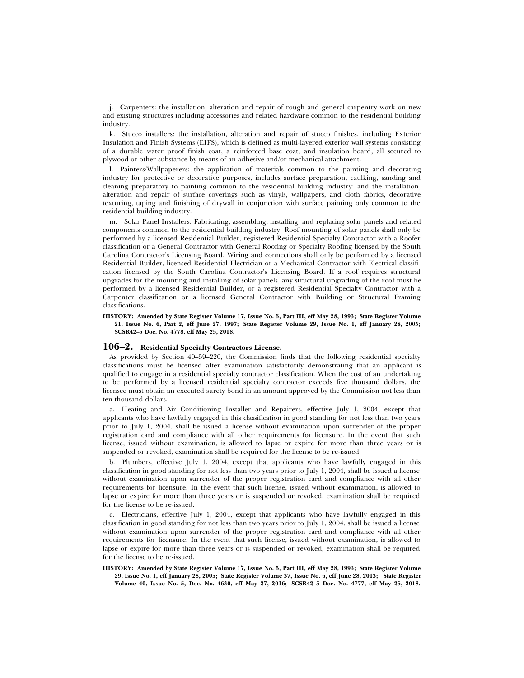j. Carpenters: the installation, alteration and repair of rough and general carpentry work on new and existing structures including accessories and related hardware common to the residential building industry.

k. Stucco installers: the installation, alteration and repair of stucco finishes, including Exterior Insulation and Finish Systems (EIFS), which is defined as multi-layered exterior wall systems consisting of a durable water proof finish coat, a reinforced base coat, and insulation board, all secured to plywood or other substance by means of an adhesive and/or mechanical attachment.

l. Painters/Wallpaperers: the application of materials common to the painting and decorating industry for protective or decorative purposes, includes surface preparation, caulking, sanding and cleaning preparatory to painting common to the residential building industry: and the installation, alteration and repair of surface coverings such as vinyls, wallpapers, and cloth fabrics, decorative texturing, taping and finishing of drywall in conjunction with surface painting only common to the residential building industry.

m. Solar Panel Installers: Fabricating, assembling, installing, and replacing solar panels and related components common to the residential building industry. Roof mounting of solar panels shall only be performed by a licensed Residential Builder, registered Residential Specialty Contractor with a Roofer classification or a General Contractor with General Roofing or Specialty Roofing licensed by the South Carolina Contractor's Licensing Board. Wiring and connections shall only be performed by a licensed Residential Builder, licensed Residential Electrician or a Mechanical Contractor with Electrical classification licensed by the South Carolina Contractor's Licensing Board. If a roof requires structural upgrades for the mounting and installing of solar panels, any structural upgrading of the roof must be performed by a licensed Residential Builder, or a registered Residential Specialty Contractor with a Carpenter classification or a licensed General Contractor with Building or Structural Framing classifications.

**HISTORY: Amended by State Register Volume 17, Issue No. 5, Part III, eff May 28, 1993; State Register Volume 21, Issue No. 6, Part 2, eff June 27, 1997; State Register Volume 29, Issue No. 1, eff January 28, 2005; SCSR42–5 Doc. No. 4778, eff May 25, 2018.**

#### **106–2. Residential Specialty Contractors License.**

As provided by Section 40–59–220, the Commission finds that the following residential specialty classifications must be licensed after examination satisfactorily demonstrating that an applicant is qualified to engage in a residential specialty contractor classification. When the cost of an undertaking to be performed by a licensed residential specialty contractor exceeds five thousand dollars, the licensee must obtain an executed surety bond in an amount approved by the Commission not less than ten thousand dollars.

a. Heating and Air Conditioning Installer and Repairers, effective July 1, 2004, except that applicants who have lawfully engaged in this classification in good standing for not less than two years prior to July 1, 2004, shall be issued a license without examination upon surrender of the proper registration card and compliance with all other requirements for licensure. In the event that such license, issued without examination, is allowed to lapse or expire for more than three years or is suspended or revoked, examination shall be required for the license to be re-issued.

b. Plumbers, effective July 1, 2004, except that applicants who have lawfully engaged in this classification in good standing for not less than two years prior to July 1, 2004, shall be issued a license without examination upon surrender of the proper registration card and compliance with all other requirements for licensure. In the event that such license, issued without examination, is allowed to lapse or expire for more than three years or is suspended or revoked, examination shall be required for the license to be re-issued.

c. Electricians, effective July 1, 2004, except that applicants who have lawfully engaged in this classification in good standing for not less than two years prior to July 1, 2004, shall be issued a license without examination upon surrender of the proper registration card and compliance with all other requirements for licensure. In the event that such license, issued without examination, is allowed to lapse or expire for more than three years or is suspended or revoked, examination shall be required for the license to be re-issued.

**HISTORY: Amended by State Register Volume 17, Issue No. 5, Part III, eff May 28, 1993; State Register Volume 29, Issue No. 1, eff January 28, 2005; State Register Volume 37, Issue No. 6, eff June 28, 2013; State Register Volume 40, Issue No. 5, Doc. No. 4630, eff May 27, 2016; SCSR42–5 Doc. No. 4777, eff May 25, 2018.**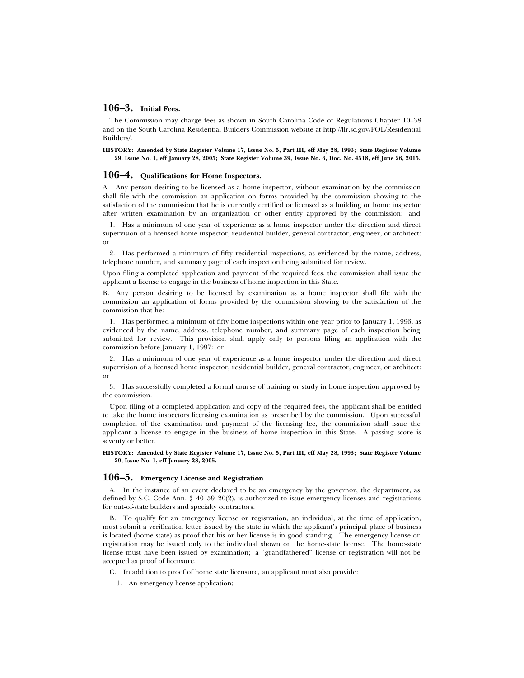#### **106–3. Initial Fees.**

The Commission may charge fees as shown in South Carolina Code of Regulations Chapter 10–38 and on the South Carolina Residential Builders Commission website at http://llr.sc.gov/POL/Residential Builders/.

**HISTORY: Amended by State Register Volume 17, Issue No. 5, Part III, eff May 28, 1993; State Register Volume 29, Issue No. 1, eff January 28, 2005; State Register Volume 39, Issue No. 6, Doc. No. 4518, eff June 26, 2015.**

#### **106–4. Qualifications for Home Inspectors.**

A. Any person desiring to be licensed as a home inspector, without examination by the commission shall file with the commission an application on forms provided by the commission showing to the satisfaction of the commission that he is currently certified or licensed as a building or home inspector after written examination by an organization or other entity approved by the commission: and

1. Has a minimum of one year of experience as a home inspector under the direction and direct supervision of a licensed home inspector, residential builder, general contractor, engineer, or architect: or

2. Has performed a minimum of fifty residential inspections, as evidenced by the name, address, telephone number, and summary page of each inspection being submitted for review.

Upon filing a completed application and payment of the required fees, the commission shall issue the applicant a license to engage in the business of home inspection in this State.

B. Any person desiring to be licensed by examination as a home inspector shall file with the commission an application of forms provided by the commission showing to the satisfaction of the commission that he:

1. Has performed a minimum of fifty home inspections within one year prior to January 1, 1996, as evidenced by the name, address, telephone number, and summary page of each inspection being submitted for review. This provision shall apply only to persons filing an application with the commission before January 1, 1997: or

2. Has a minimum of one year of experience as a home inspector under the direction and direct supervision of a licensed home inspector, residential builder, general contractor, engineer, or architect: or

3. Has successfully completed a formal course of training or study in home inspection approved by the commission.

Upon filing of a completed application and copy of the required fees, the applicant shall be entitled to take the home inspectors licensing examination as prescribed by the commission. Upon successful completion of the examination and payment of the licensing fee, the commission shall issue the applicant a license to engage in the business of home inspection in this State. A passing score is seventy or better.

**HISTORY: Amended by State Register Volume 17, Issue No. 5, Part III, eff May 28, 1993; State Register Volume 29, Issue No. 1, eff January 28, 2005.**

#### **106–5. Emergency License and Registration**

A. In the instance of an event declared to be an emergency by the governor, the department, as defined by S.C. Code Ann. § 40–59–20(2), is authorized to issue emergency licenses and registrations for out-of-state builders and specialty contractors.

B. To qualify for an emergency license or registration, an individual, at the time of application, must submit a verification letter issued by the state in which the applicant's principal place of business is located (home state) as proof that his or her license is in good standing. The emergency license or registration may be issued only to the individual shown on the home-state license. The home-state license must have been issued by examination; a ''grandfathered'' license or registration will not be accepted as proof of licensure.

C. In addition to proof of home state licensure, an applicant must also provide:

1. An emergency license application;